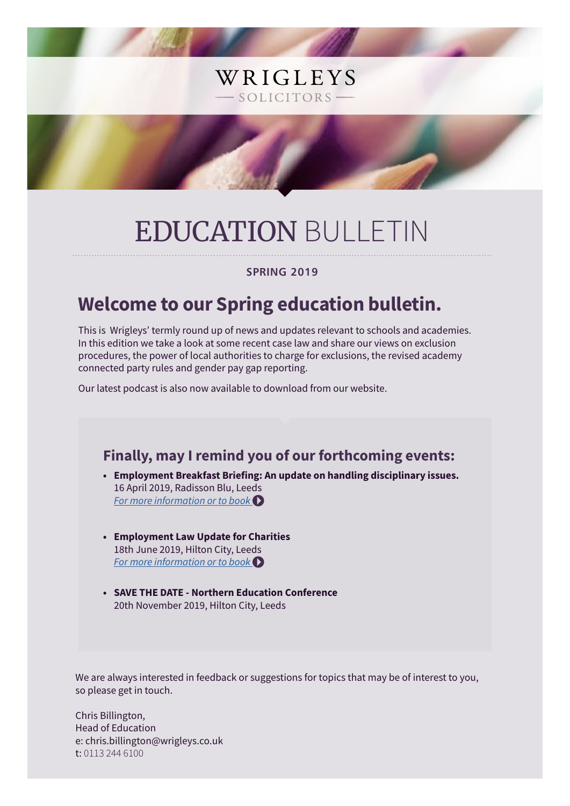# EDUCATION BULLETIN

WRIGLEYS

- SOLICITORS -

#### **SPRING 2019**

# **Welcome to our Spring education bulletin.**

This is Wrigleys' termly round up of news and updates relevant to schools and academies. In this edition we take a look at some recent case law and share our views on exclusion procedures, the power of local authorities to charge for exclusions, the revised academy connected party rules and gender pay gap reporting.

Our latest podcast is also now available to download from our website.

### **Finally, may I remind you of our forthcoming events:**

- **• Employment Breakfast Briefing: An update on handling disciplinary issues.** 16 April 2019, Radisson Blu, Leeds *[For more information or to book](https://www.wrigleys.co.uk/events/detail/employment-breakfast-briefing---16-april-2019/)*
- **• Employment Law Update for Charities** 18th June 2019, Hilton City, Leeds *[For more information or to book](https://www.wrigleys.co.uk/events/detail/employment-law-update-for-charities-/)*
- **• SAVE THE DATE Northern Education Conference** 20th November 2019, Hilton City, Leeds

We are always interested in feedback or suggestions for topics that may be of interest to you, so please get in touch.

Chris Billington, Head of Education e: chris.billington@wrigleys.co.uk t: 0113 244 6100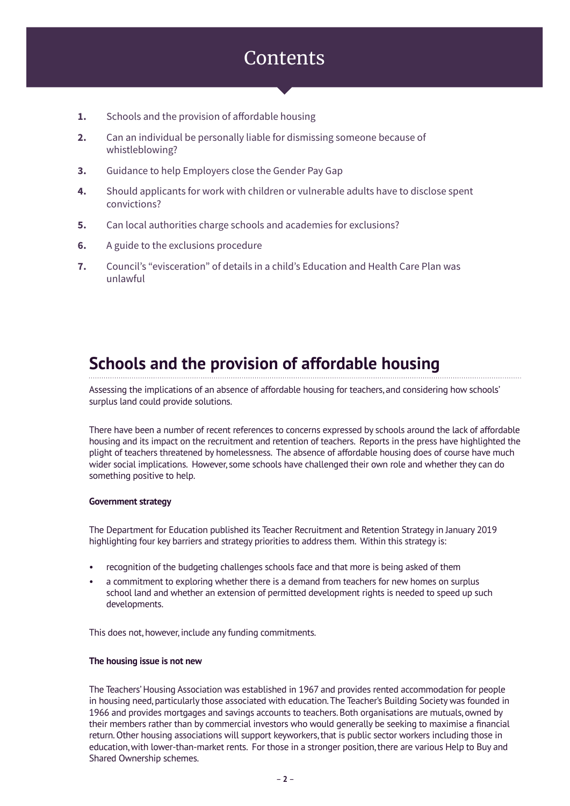### **Contents**

- **1.** Schools and the provision of affordable housing
- **2.** Can an individual be personally liable for dismissing someone because of whistleblowing?
- **3.** Guidance to help Employers close the Gender Pay Gap
- **4.** Should applicants for work with children or vulnerable adults have to disclose spent convictions?
- **5.** Can local authorities charge schools and academies for exclusions?
- **6.** A guide to the exclusions procedure
- **7.** Council's "evisceration" of details in a child's Education and Health Care Plan was unlawful

### **Schools and the provision of affordable housing**

Assessing the implications of an absence of affordable housing for teachers, and considering how schools' surplus land could provide solutions.

There have been a number of recent references to concerns expressed by schools around the lack of affordable housing and its impact on the recruitment and retention of teachers. Reports in the press have highlighted the plight of teachers threatened by homelessness. The absence of affordable housing does of course have much wider social implications. However, some schools have challenged their own role and whether they can do something positive to help.

#### **Government strategy**

The Department for Education published its Teacher Recruitment and Retention Strategy in January 2019 highlighting four key barriers and strategy priorities to address them. Within this strategy is:

- recognition of the budgeting challenges schools face and that more is being asked of them
- a commitment to exploring whether there is a demand from teachers for new homes on surplus school land and whether an extension of permitted development rights is needed to speed up such developments.

This does not, however, include any funding commitments.

#### **The housing issue is not new**

The Teachers' Housing Association was established in 1967 and provides rented accommodation for people in housing need, particularly those associated with education. The Teacher's Building Society was founded in 1966 and provides mortgages and savings accounts to teachers. Both organisations are mutuals, owned by their members rather than by commercial investors who would generally be seeking to maximise a financial return. Other housing associations will support keyworkers, that is public sector workers including those in education, with lower-than-market rents. For those in a stronger position, there are various Help to Buy and Shared Ownership schemes.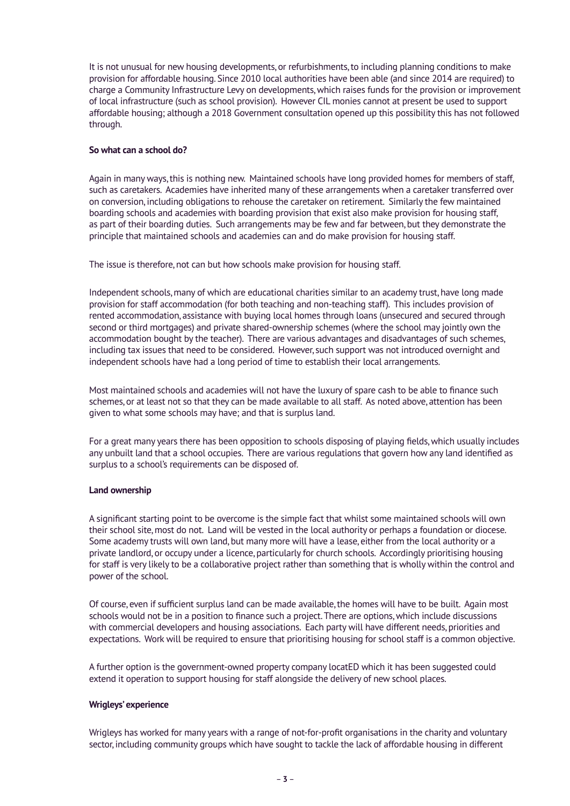It is not unusual for new housing developments, or refurbishments, to including planning conditions to make provision for affordable housing. Since 2010 local authorities have been able (and since 2014 are required) to charge a Community Infrastructure Levy on developments, which raises funds for the provision or improvement of local infrastructure (such as school provision). However CIL monies cannot at present be used to support affordable housing; although a 2018 Government consultation opened up this possibility this has not followed through.

#### **So what can a school do?**

Again in many ways, this is nothing new. Maintained schools have long provided homes for members of staff, such as caretakers. Academies have inherited many of these arrangements when a caretaker transferred over on conversion, including obligations to rehouse the caretaker on retirement. Similarly the few maintained boarding schools and academies with boarding provision that exist also make provision for housing staff, as part of their boarding duties. Such arrangements may be few and far between, but they demonstrate the principle that maintained schools and academies can and do make provision for housing staff.

The issue is therefore, not can but how schools make provision for housing staff.

Independent schools, many of which are educational charities similar to an academy trust, have long made provision for staff accommodation (for both teaching and non-teaching staff). This includes provision of rented accommodation, assistance with buying local homes through loans (unsecured and secured through second or third mortgages) and private shared-ownership schemes (where the school may jointly own the accommodation bought by the teacher). There are various advantages and disadvantages of such schemes, including tax issues that need to be considered. However, such support was not introduced overnight and independent schools have had a long period of time to establish their local arrangements.

Most maintained schools and academies will not have the luxury of spare cash to be able to finance such schemes, or at least not so that they can be made available to all staff. As noted above, attention has been given to what some schools may have; and that is surplus land.

For a great many years there has been opposition to schools disposing of playing fields, which usually includes any unbuilt land that a school occupies. There are various regulations that govern how any land identified as surplus to a school's requirements can be disposed of.

#### **Land ownership**

A significant starting point to be overcome is the simple fact that whilst some maintained schools will own their school site, most do not. Land will be vested in the local authority or perhaps a foundation or diocese. Some academy trusts will own land, but many more will have a lease, either from the local authority or a private landlord, or occupy under a licence, particularly for church schools. Accordingly prioritising housing for staff is very likely to be a collaborative project rather than something that is wholly within the control and power of the school.

Of course, even if sufficient surplus land can be made available, the homes will have to be built. Again most schools would not be in a position to finance such a project. There are options, which include discussions with commercial developers and housing associations. Each party will have different needs, priorities and expectations. Work will be required to ensure that prioritising housing for school staff is a common objective.

A further option is the government-owned property company locatED which it has been suggested could extend it operation to support housing for staff alongside the delivery of new school places.

#### **Wrigleys' experience**

Wrigleys has worked for many years with a range of not-for-profit organisations in the charity and voluntary sector, including community groups which have sought to tackle the lack of affordable housing in different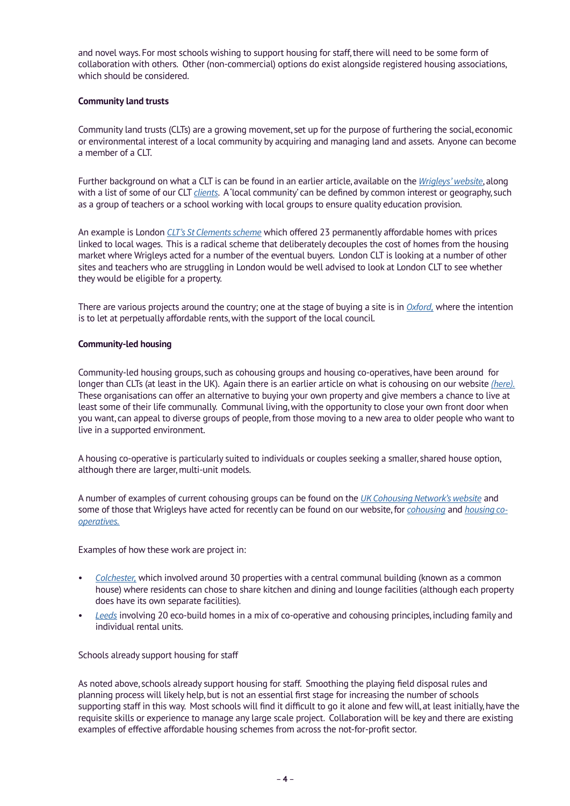and novel ways. For most schools wishing to support housing for staff, there will need to be some form of collaboration with others. Other (non-commercial) options do exist alongside registered housing associations, which should be considered.

#### **Community land trusts**

Community land trusts (CLTs) are a growing movement, set up for the purpose of furthering the social, economic or environmental interest of a local community by acquiring and managing land and assets. Anyone can become a member of a CLT.

Further background on what a CLT is can be found in an earlier article, available on the *[Wrigleys' website](https://www.wrigleys.co.uk/news/charity-social-economy/back-to-basics-in-community-led-housing-what-is-a-community-land-trust/)*, along with a list of some of our CLT *[clients](https://www.wrigleys.co.uk/charities-and-social-economy/community-led-housing/community-land-trusts/)*. A 'local community' can be defined by common interest or geography, such as a group of teachers or a school working with local groups to ensure quality education provision.

An example is London *[CLT's St Clements scheme](https://www.londonclt.org/st-clement-s)* which offered 23 permanently affordable homes with prices linked to local wages. This is a radical scheme that deliberately decouples the cost of homes from the housing market where Wrigleys acted for a number of the eventual buyers. London CLT is looking at a number of other sites and teachers who are struggling in London would be well advised to look at London CLT to see whether they would be eligible for a property.

There are various projects around the country; one at the stage of buying a site is in *[Oxford,](https://www.oclt.org.uk/)* where the intention is to let at perpetually affordable rents, with the support of the local council.

#### **Community-led housing**

Community-led housing groups, such as cohousing groups and housing co-operatives, have been around for longer than CLTs (at least in the UK). Again there is an earlier article on what is cohousing on our website *[\(here\).](https://www.wrigleys.co.uk/news/charity-social-economy/what-is-cohousing/)* These organisations can offer an alternative to buying your own property and give members a chance to live at least some of their life communally. Communal living, with the opportunity to close your own front door when you want, can appeal to diverse groups of people, from those moving to a new area to older people who want to live in a supported environment.

A housing co-operative is particularly suited to individuals or couples seeking a smaller, shared house option, although there are larger, multi-unit models.

A number of examples of current cohousing groups can be found on the *[UK Cohousing Network's website](https://cohousing.org.uk/information/uk-cohousing-directory/)* and some of those that Wrigleys have acted for recently can be found on our website, for *[cohousing](https://www.wrigleys.co.uk/charities-and-social-economy/community-led-housing/cohousing/)* and *[housing co](https://www.wrigleys.co.uk/charities-and-social-economy/community-led-housing/housing-cooperatives/)[operatives.](https://www.wrigleys.co.uk/charities-and-social-economy/community-led-housing/housing-cooperatives/)*

Examples of how these work are project in:

- *[Colchester,](http://cannockmillcohousingcolchester.co.uk/)* which involved around 30 properties with a central communal building (known as a common house) where residents can chose to share kitchen and dining and lounge facilities (although each property does have its own separate facilities).
- *[Leeds](https://www.lilac.coop/community/)* involving 20 eco-build homes in a mix of co-operative and cohousing principles, including family and individual rental units.

Schools already support housing for staff

As noted above, schools already support housing for staff. Smoothing the playing field disposal rules and planning process will likely help, but is not an essential first stage for increasing the number of schools supporting staff in this way. Most schools will find it difficult to go it alone and few will, at least initially, have the requisite skills or experience to manage any large scale project. Collaboration will be key and there are existing examples of effective affordable housing schemes from across the not-for-profit sector.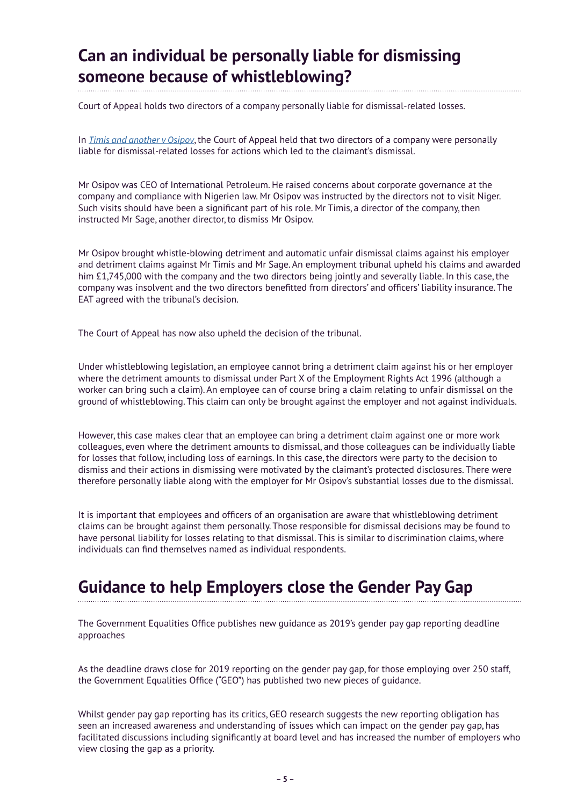# **Can an individual be personally liable for dismissing someone because of whistleblowing?**

Court of Appeal holds two directors of a company personally liable for dismissal-related losses.

In *[Timis and another v Osipov](https://www.bailii.org/ew/cases/EWCA/Civ/2018/2321.html)*, the Court of Appeal held that two directors of a company were personally liable for dismissal-related losses for actions which led to the claimant's dismissal.

Mr Osipov was CEO of International Petroleum. He raised concerns about corporate governance at the company and compliance with Nigerien law. Mr Osipov was instructed by the directors not to visit Niger. Such visits should have been a significant part of his role. Mr Timis, a director of the company, then instructed Mr Sage, another director, to dismiss Mr Osipov.

Mr Osipov brought whistle-blowing detriment and automatic unfair dismissal claims against his employer and detriment claims against Mr Timis and Mr Sage. An employment tribunal upheld his claims and awarded him £1,745,000 with the company and the two directors being jointly and severally liable. In this case, the company was insolvent and the two directors benefitted from directors' and officers' liability insurance. The EAT agreed with the tribunal's decision.

The Court of Appeal has now also upheld the decision of the tribunal.

Under whistleblowing legislation, an employee cannot bring a detriment claim against his or her employer where the detriment amounts to dismissal under Part X of the Employment Rights Act 1996 (although a worker can bring such a claim). An employee can of course bring a claim relating to unfair dismissal on the ground of whistleblowing. This claim can only be brought against the employer and not against individuals.

However, this case makes clear that an employee can bring a detriment claim against one or more work colleagues, even where the detriment amounts to dismissal, and those colleagues can be individually liable for losses that follow, including loss of earnings. In this case, the directors were party to the decision to dismiss and their actions in dismissing were motivated by the claimant's protected disclosures. There were therefore personally liable along with the employer for Mr Osipov's substantial losses due to the dismissal.

It is important that employees and officers of an organisation are aware that whistleblowing detriment claims can be brought against them personally. Those responsible for dismissal decisions may be found to have personal liability for losses relating to that dismissal. This is similar to discrimination claims, where individuals can find themselves named as individual respondents.

# **Guidance to help Employers close the Gender Pay Gap**

The Government Equalities Office publishes new guidance as 2019's gender pay gap reporting deadline approaches

As the deadline draws close for 2019 reporting on the gender pay gap, for those employing over 250 staff, the Government Equalities Office ("GEO") has published two new pieces of guidance.

Whilst gender pay gap reporting has its critics, GEO research suggests the new reporting obligation has seen an increased awareness and understanding of issues which can impact on the gender pay gap, has facilitated discussions including significantly at board level and has increased the number of employers who view closing the gap as a priority.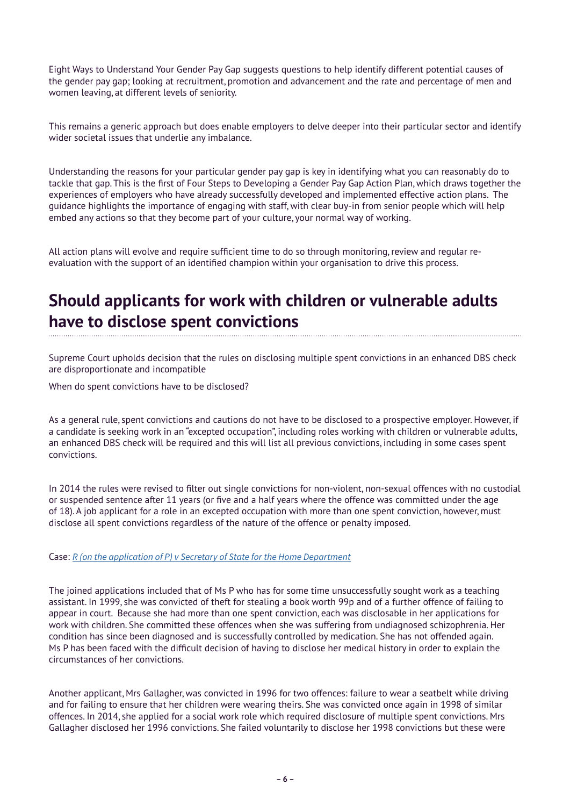Eight Ways to Understand Your Gender Pay Gap suggests questions to help identify different potential causes of the gender pay gap; looking at recruitment, promotion and advancement and the rate and percentage of men and women leaving, at different levels of seniority.

This remains a generic approach but does enable employers to delve deeper into their particular sector and identify wider societal issues that underlie any imbalance.

Understanding the reasons for your particular gender pay gap is key in identifying what you can reasonably do to tackle that gap. This is the first of Four Steps to Developing a Gender Pay Gap Action Plan, which draws together the experiences of employers who have already successfully developed and implemented effective action plans. The guidance highlights the importance of engaging with staff, with clear buy-in from senior people which will help embed any actions so that they become part of your culture, your normal way of working.

All action plans will evolve and require sufficient time to do so through monitoring, review and regular reevaluation with the support of an identified champion within your organisation to drive this process.

### **Should applicants for work with children or vulnerable adults have to disclose spent convictions**

Supreme Court upholds decision that the rules on disclosing multiple spent convictions in an enhanced DBS check are disproportionate and incompatible

When do spent convictions have to be disclosed?

As a general rule, spent convictions and cautions do not have to be disclosed to a prospective employer. However, if a candidate is seeking work in an "excepted occupation", including roles working with children or vulnerable adults, an enhanced DBS check will be required and this will list all previous convictions, including in some cases spent convictions.

In 2014 the rules were revised to filter out single convictions for non-violent, non-sexual offences with no custodial or suspended sentence after 11 years (or five and a half years where the offence was committed under the age of 18). A job applicant for a role in an excepted occupation with more than one spent conviction, however, must disclose all spent convictions regardless of the nature of the offence or penalty imposed.

Case: *[R \(on the application of P\) v Secretary of State for the Home Department](https://www.bailii.org/uk/cases/UKSC/2019/3.html)*

The joined applications included that of Ms P who has for some time unsuccessfully sought work as a teaching assistant. In 1999, she was convicted of theft for stealing a book worth 99p and of a further offence of failing to appear in court. Because she had more than one spent conviction, each was disclosable in her applications for work with children. She committed these offences when she was suffering from undiagnosed schizophrenia. Her condition has since been diagnosed and is successfully controlled by medication. She has not offended again. Ms P has been faced with the difficult decision of having to disclose her medical history in order to explain the circumstances of her convictions.

Another applicant, Mrs Gallagher, was convicted in 1996 for two offences: failure to wear a seatbelt while driving and for failing to ensure that her children were wearing theirs. She was convicted once again in 1998 of similar offences. In 2014, she applied for a social work role which required disclosure of multiple spent convictions. Mrs Gallagher disclosed her 1996 convictions. She failed voluntarily to disclose her 1998 convictions but these were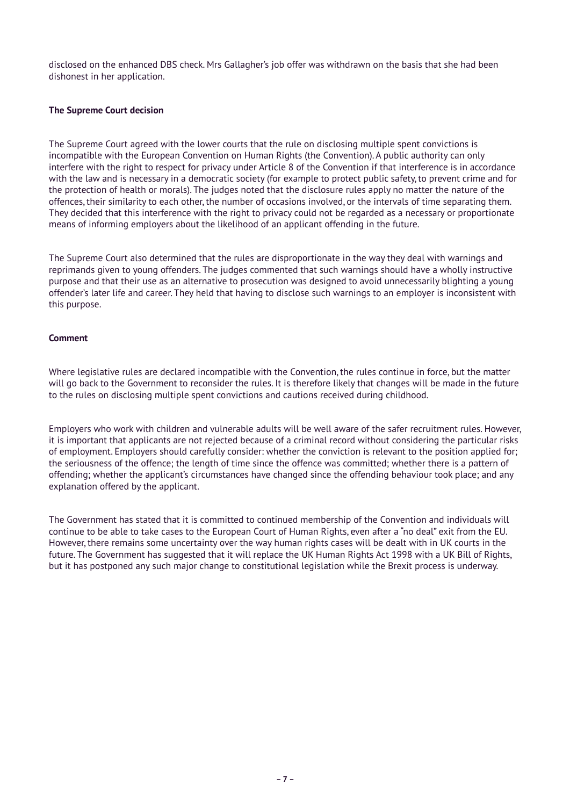disclosed on the enhanced DBS check. Mrs Gallagher's job offer was withdrawn on the basis that she had been dishonest in her application.

#### **The Supreme Court decision**

The Supreme Court agreed with the lower courts that the rule on disclosing multiple spent convictions is incompatible with the European Convention on Human Rights (the Convention). A public authority can only interfere with the right to respect for privacy under Article 8 of the Convention if that interference is in accordance with the law and is necessary in a democratic society (for example to protect public safety, to prevent crime and for the protection of health or morals). The judges noted that the disclosure rules apply no matter the nature of the offences, their similarity to each other, the number of occasions involved, or the intervals of time separating them. They decided that this interference with the right to privacy could not be regarded as a necessary or proportionate means of informing employers about the likelihood of an applicant offending in the future.

The Supreme Court also determined that the rules are disproportionate in the way they deal with warnings and reprimands given to young offenders. The judges commented that such warnings should have a wholly instructive purpose and that their use as an alternative to prosecution was designed to avoid unnecessarily blighting a young offender's later life and career. They held that having to disclose such warnings to an employer is inconsistent with this purpose.

#### **Comment**

Where legislative rules are declared incompatible with the Convention, the rules continue in force, but the matter will go back to the Government to reconsider the rules. It is therefore likely that changes will be made in the future to the rules on disclosing multiple spent convictions and cautions received during childhood.

Employers who work with children and vulnerable adults will be well aware of the safer recruitment rules. However, it is important that applicants are not rejected because of a criminal record without considering the particular risks of employment. Employers should carefully consider: whether the conviction is relevant to the position applied for; the seriousness of the offence; the length of time since the offence was committed; whether there is a pattern of offending; whether the applicant's circumstances have changed since the offending behaviour took place; and any explanation offered by the applicant.

The Government has stated that it is committed to continued membership of the Convention and individuals will continue to be able to take cases to the European Court of Human Rights, even after a "no deal" exit from the EU. However, there remains some uncertainty over the way human rights cases will be dealt with in UK courts in the future. The Government has suggested that it will replace the UK Human Rights Act 1998 with a UK Bill of Rights, but it has postponed any such major change to constitutional legislation while the Brexit process is underway.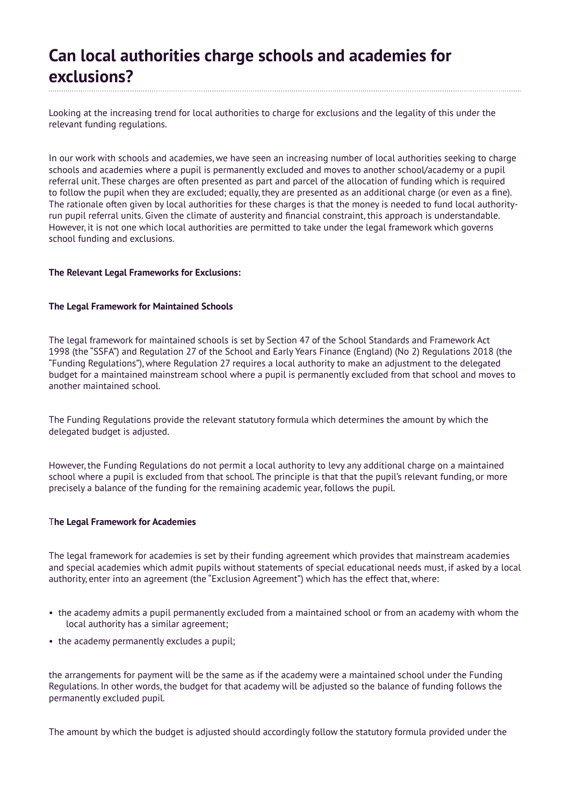### **Can local authorities charge schools and academies for exclusions?**

Looking at the increasing trend for local authorities to charge for exclusions and the legality of this under the relevant funding regulations.

In our work with schools and academies, we have seen an increasing number of local authorities seeking to charge schools and academies where a pupil is permanently excluded and moves to another school/academy or a pupil referral unit. These charges are often presented as part and parcel of the allocation of funding which is required to follow the pupil when they are excluded; equally, they are presented as an additional charge (or even as a fine). The rationale often given by local authorities for these charges is that the money is needed to fund local authorityrun pupil referral units. Given the climate of austerity and financial constraint, this approach is understandable. However, it is not one which local authorities are permitted to take under the legal framework which governs school funding and exclusions.

#### **The Relevant Legal Frameworks for Exclusions:**

#### **The Legal Framework for Maintained Schools**

The legal framework for maintained schools is set by Section 47 of the School Standards and Framework Act 1998 (the "SSFA") and Regulation 27 of the School and Early Years Finance (England) (No 2) Regulations 2018 (the "Funding Regulations"), where Regulation 27 requires a local authority to make an adjustment to the delegated budget for a maintained mainstream school where a pupil is permanently excluded from that school and moves to another maintained school.

The Funding Regulations provide the relevant statutory formula which determines the amount by which the delegated budget is adjusted.

However, the Funding Regulations do not permit a local authority to levy any additional charge on a maintained school where a pupil is excluded from that school. The principle is that that the pupil's relevant funding, or more precisely a balance of the funding for the remaining academic year, follows the pupil.

#### T**he Legal Framework for Academies**

The legal framework for academies is set by their funding agreement which provides that mainstream academies and special academies which admit pupils without statements of special educational needs must, if asked by a local authority, enter into an agreement (the "Exclusion Agreement") which has the effect that, where:

- the academy admits a pupil permanently excluded from a maintained school or from an academy with whom the local authority has a similar agreement;
- the academy permanently excludes a pupil;

the arrangements for payment will be the same as if the academy were a maintained school under the Funding Regulations. In other words, the budget for that academy will be adjusted so the balance of funding follows the permanently excluded pupil.

The amount by which the budget is adjusted should accordingly follow the statutory formula provided under the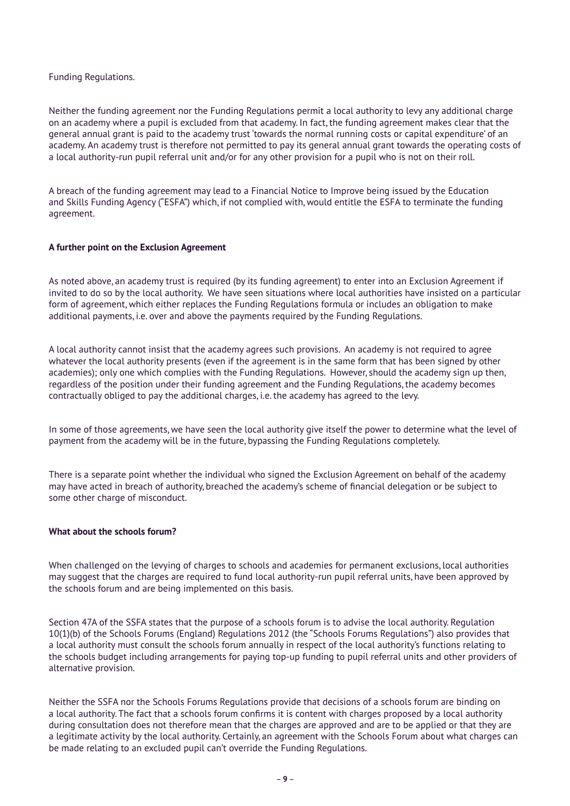#### Funding Regulations.

Neither the funding agreement nor the Funding Regulations permit a local authority to levy any additional charge on an academy where a pupil is excluded from that academy. In fact, the funding agreement makes clear that the general annual grant is paid to the academy trust 'towards the normal running costs or capital expenditure' of an academy. An academy trust is therefore not permitted to pay its general annual grant towards the operating costs of a local authority-run pupil referral unit and/or for any other provision for a pupil who is not on their roll.

A breach of the funding agreement may lead to a Financial Notice to Improve being issued by the Education and Skills Funding Agency ("ESFA") which, if not complied with, would entitle the ESFA to terminate the funding agreement.

#### **A further point on the Exclusion Agreement**

As noted above, an academy trust is required (by its funding agreement) to enter into an Exclusion Agreement if invited to do so by the local authority. We have seen situations where local authorities have insisted on a particular form of agreement, which either replaces the Funding Regulations formula or includes an obligation to make additional payments, i.e. over and above the payments required by the Funding Regulations.

A local authority cannot insist that the academy agrees such provisions. An academy is not required to agree whatever the local authority presents (even if the agreement is in the same form that has been signed by other academies); only one which complies with the Funding Regulations. However, should the academy sign up then, regardless of the position under their funding agreement and the Funding Regulations, the academy becomes contractually obliged to pay the additional charges, i.e. the academy has agreed to the levy.

In some of those agreements, we have seen the local authority give itself the power to determine what the level of payment from the academy will be in the future, bypassing the Funding Regulations completely.

There is a separate point whether the individual who signed the Exclusion Agreement on behalf of the academy may have acted in breach of authority, breached the academy's scheme of financial delegation or be subject to some other charge of misconduct.

#### **What about the schools forum?**

When challenged on the levying of charges to schools and academies for permanent exclusions, local authorities may suggest that the charges are required to fund local authority-run pupil referral units, have been approved by the schools forum and are being implemented on this basis.

Section 47A of the SSFA states that the purpose of a schools forum is to advise the local authority. Regulation 10(1)(b) of the Schools Forums (England) Regulations 2012 (the "Schools Forums Regulations") also provides that a local authority must consult the schools forum annually in respect of the local authority's functions relating to the schools budget including arrangements for paying top-up funding to pupil referral units and other providers of alternative provision.

Neither the SSFA nor the Schools Forums Regulations provide that decisions of a schools forum are binding on a local authority. The fact that a schools forum confirms it is content with charges proposed by a local authority during consultation does not therefore mean that the charges are approved and are to be applied or that they are a legitimate activity by the local authority. Certainly, an agreement with the Schools Forum about what charges can be made relating to an excluded pupil can't override the Funding Regulations.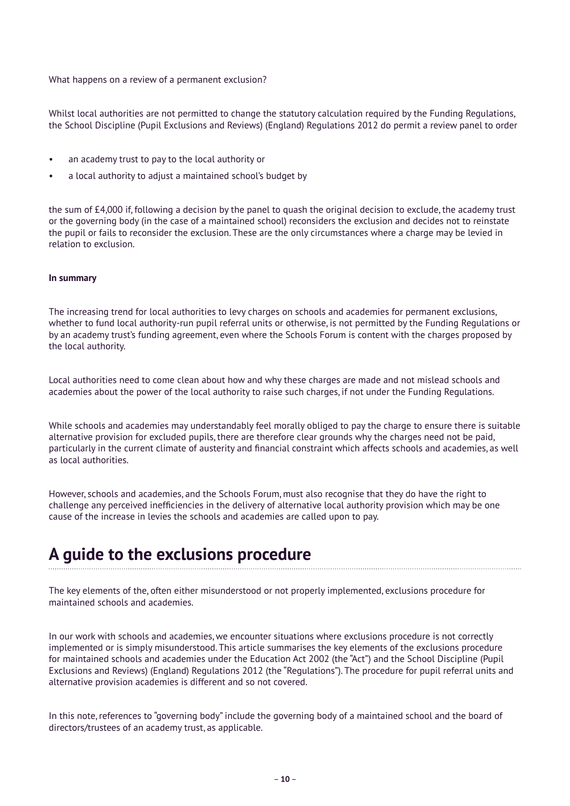What happens on a review of a permanent exclusion?

Whilst local authorities are not permitted to change the statutory calculation required by the Funding Regulations, the School Discipline (Pupil Exclusions and Reviews) (England) Regulations 2012 do permit a review panel to order

- an academy trust to pay to the local authority or
- a local authority to adjust a maintained school's budget by

the sum of £4,000 if, following a decision by the panel to quash the original decision to exclude, the academy trust or the governing body (in the case of a maintained school) reconsiders the exclusion and decides not to reinstate the pupil or fails to reconsider the exclusion. These are the only circumstances where a charge may be levied in relation to exclusion.

#### **In summary**

The increasing trend for local authorities to levy charges on schools and academies for permanent exclusions, whether to fund local authority-run pupil referral units or otherwise, is not permitted by the Funding Regulations or by an academy trust's funding agreement, even where the Schools Forum is content with the charges proposed by the local authority.

Local authorities need to come clean about how and why these charges are made and not mislead schools and academies about the power of the local authority to raise such charges, if not under the Funding Regulations.

While schools and academies may understandably feel morally obliged to pay the charge to ensure there is suitable alternative provision for excluded pupils, there are therefore clear grounds why the charges need not be paid, particularly in the current climate of austerity and financial constraint which affects schools and academies, as well as local authorities.

However, schools and academies, and the Schools Forum, must also recognise that they do have the right to challenge any perceived inefficiencies in the delivery of alternative local authority provision which may be one cause of the increase in levies the schools and academies are called upon to pay.

### **A guide to the exclusions procedure**

The key elements of the, often either misunderstood or not properly implemented, exclusions procedure for maintained schools and academies.

In our work with schools and academies, we encounter situations where exclusions procedure is not correctly implemented or is simply misunderstood. This article summarises the key elements of the exclusions procedure for maintained schools and academies under the Education Act 2002 (the "Act") and the School Discipline (Pupil Exclusions and Reviews) (England) Regulations 2012 (the "Regulations"). The procedure for pupil referral units and alternative provision academies is different and so not covered.

In this note, references to "governing body" include the governing body of a maintained school and the board of directors/trustees of an academy trust, as applicable.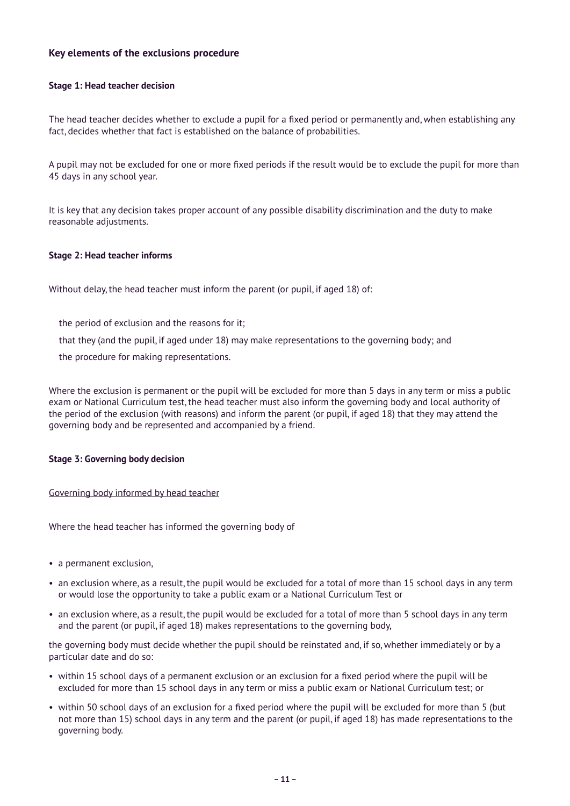#### **Key elements of the exclusions procedure**

#### **Stage 1: Head teacher decision**

The head teacher decides whether to exclude a pupil for a fixed period or permanently and, when establishing any fact, decides whether that fact is established on the balance of probabilities.

A pupil may not be excluded for one or more fixed periods if the result would be to exclude the pupil for more than 45 days in any school year.

It is key that any decision takes proper account of any possible disability discrimination and the duty to make reasonable adjustments.

#### **Stage 2: Head teacher informs**

Without delay, the head teacher must inform the parent (or pupil, if aged 18) of:

- the period of exclusion and the reasons for it;
- that they (and the pupil, if aged under 18) may make representations to the governing body; and
- the procedure for making representations.

Where the exclusion is permanent or the pupil will be excluded for more than 5 days in any term or miss a public exam or National Curriculum test, the head teacher must also inform the governing body and local authority of the period of the exclusion (with reasons) and inform the parent (or pupil, if aged 18) that they may attend the governing body and be represented and accompanied by a friend.

#### **Stage 3: Governing body decision**

#### Governing body informed by head teacher

Where the head teacher has informed the governing body of

- a permanent exclusion,
- an exclusion where, as a result, the pupil would be excluded for a total of more than 15 school days in any term or would lose the opportunity to take a public exam or a National Curriculum Test or
- an exclusion where, as a result, the pupil would be excluded for a total of more than 5 school days in any term and the parent (or pupil, if aged 18) makes representations to the governing body,

the governing body must decide whether the pupil should be reinstated and, if so, whether immediately or by a particular date and do so:

- within 15 school days of a permanent exclusion or an exclusion for a fixed period where the pupil will be excluded for more than 15 school days in any term or miss a public exam or National Curriculum test; or
- within 50 school days of an exclusion for a fixed period where the pupil will be excluded for more than 5 (but not more than 15) school days in any term and the parent (or pupil, if aged 18) has made representations to the governing body.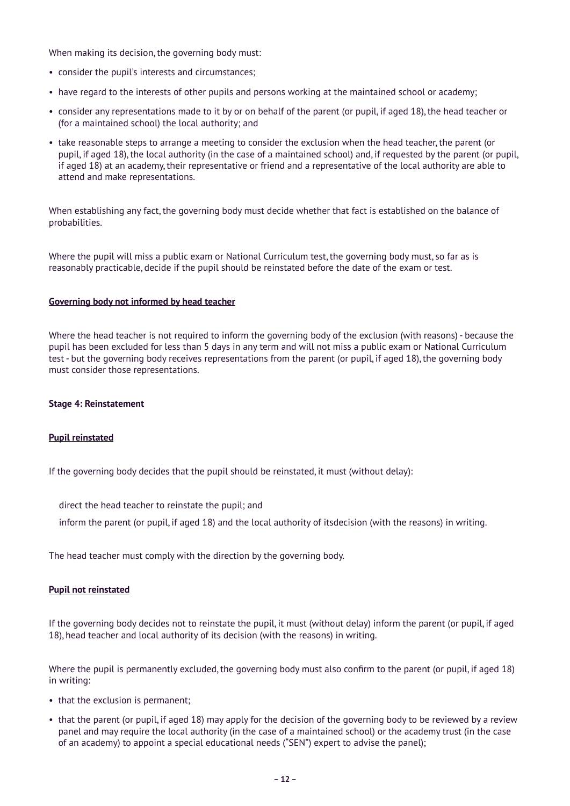When making its decision, the governing body must:

- consider the pupil's interests and circumstances;
- have regard to the interests of other pupils and persons working at the maintained school or academy;
- consider any representations made to it by or on behalf of the parent (or pupil, if aged 18), the head teacher or (for a maintained school) the local authority; and
- take reasonable steps to arrange a meeting to consider the exclusion when the head teacher, the parent (or pupil, if aged 18), the local authority (in the case of a maintained school) and, if requested by the parent (or pupil, if aged 18) at an academy, their representative or friend and a representative of the local authority are able to attend and make representations.

When establishing any fact, the governing body must decide whether that fact is established on the balance of probabilities.

Where the pupil will miss a public exam or National Curriculum test, the governing body must, so far as is reasonably practicable, decide if the pupil should be reinstated before the date of the exam or test.

#### **Governing body not informed by head teacher**

Where the head teacher is not required to inform the governing body of the exclusion (with reasons) - because the pupil has been excluded for less than 5 days in any term and will not miss a public exam or National Curriculum test - but the governing body receives representations from the parent (or pupil, if aged 18), the governing body must consider those representations.

#### **Stage 4: Reinstatement**

#### **Pupil reinstated**

If the governing body decides that the pupil should be reinstated, it must (without delay):

direct the head teacher to reinstate the pupil; and

inform the parent (or pupil, if aged 18) and the local authority of itsdecision (with the reasons) in writing.

The head teacher must comply with the direction by the governing body.

#### **Pupil not reinstated**

If the governing body decides not to reinstate the pupil, it must (without delay) inform the parent (or pupil, if aged 18), head teacher and local authority of its decision (with the reasons) in writing.

Where the pupil is permanently excluded, the governing body must also confirm to the parent (or pupil, if aged 18) in writing:

- that the exclusion is permanent;
- that the parent (or pupil, if aged 18) may apply for the decision of the governing body to be reviewed by a review panel and may require the local authority (in the case of a maintained school) or the academy trust (in the case of an academy) to appoint a special educational needs ("SEN") expert to advise the panel);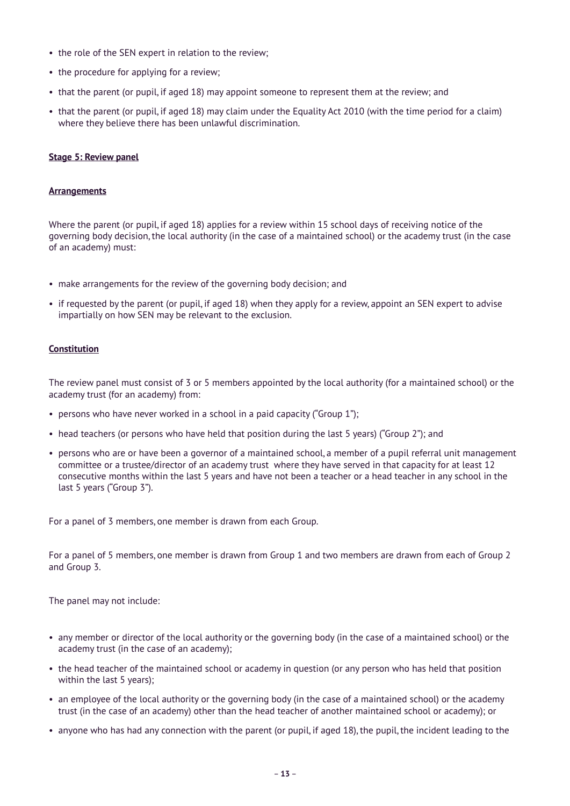- the role of the SEN expert in relation to the review;
- the procedure for applying for a review:
- that the parent (or pupil, if aged 18) may appoint someone to represent them at the review; and
- that the parent (or pupil, if aged 18) may claim under the Equality Act 2010 (with the time period for a claim) where they believe there has been unlawful discrimination.

#### **Stage 5: Review panel**

#### **Arrangements**

Where the parent (or pupil, if aged 18) applies for a review within 15 school days of receiving notice of the governing body decision, the local authority (in the case of a maintained school) or the academy trust (in the case of an academy) must:

- make arrangements for the review of the governing body decision; and
- if requested by the parent (or pupil, if aged 18) when they apply for a review, appoint an SEN expert to advise impartially on how SEN may be relevant to the exclusion.

#### **Constitution**

The review panel must consist of 3 or 5 members appointed by the local authority (for a maintained school) or the academy trust (for an academy) from:

- persons who have never worked in a school in a paid capacity ("Group 1");
- head teachers (or persons who have held that position during the last 5 years) ("Group 2"); and
- persons who are or have been a governor of a maintained school, a member of a pupil referral unit management committee or a trustee/director of an academy trust where they have served in that capacity for at least 12 consecutive months within the last 5 years and have not been a teacher or a head teacher in any school in the last 5 years ("Group 3").

For a panel of 3 members, one member is drawn from each Group.

For a panel of 5 members, one member is drawn from Group 1 and two members are drawn from each of Group 2 and Group 3.

The panel may not include:

- any member or director of the local authority or the governing body (in the case of a maintained school) or the academy trust (in the case of an academy);
- the head teacher of the maintained school or academy in question (or any person who has held that position within the last 5 years);
- an employee of the local authority or the governing body (in the case of a maintained school) or the academy trust (in the case of an academy) other than the head teacher of another maintained school or academy); or
- anyone who has had any connection with the parent (or pupil, if aged 18), the pupil, the incident leading to the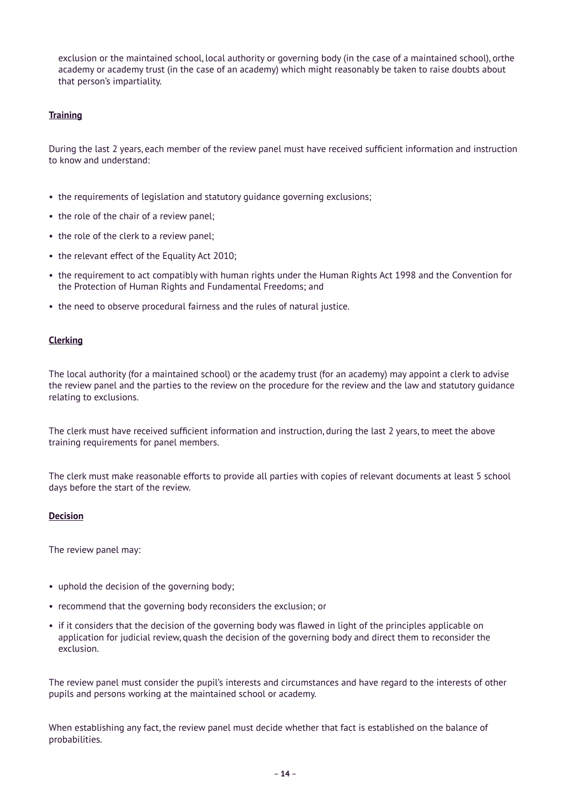exclusion or the maintained school, local authority or governing body (in the case of a maintained school), orthe academy or academy trust (in the case of an academy) which might reasonably be taken to raise doubts about that person's impartiality.

#### **Training**

During the last 2 years, each member of the review panel must have received sufficient information and instruction to know and understand:

- the requirements of legislation and statutory guidance governing exclusions;
- the role of the chair of a review panel;
- the role of the clerk to a review panel;
- the relevant effect of the Equality Act 2010;
- the requirement to act compatibly with human rights under the Human Rights Act 1998 and the Convention for the Protection of Human Rights and Fundamental Freedoms; and
- the need to observe procedural fairness and the rules of natural justice.

#### **Clerking**

The local authority (for a maintained school) or the academy trust (for an academy) may appoint a clerk to advise the review panel and the parties to the review on the procedure for the review and the law and statutory guidance relating to exclusions.

The clerk must have received sufficient information and instruction, during the last 2 years, to meet the above training requirements for panel members.

The clerk must make reasonable efforts to provide all parties with copies of relevant documents at least 5 school days before the start of the review.

#### **Decision**

The review panel may:

- uphold the decision of the governing body;
- recommend that the governing body reconsiders the exclusion; or
- if it considers that the decision of the governing body was flawed in light of the principles applicable on application for judicial review, quash the decision of the governing body and direct them to reconsider the exclusion.

The review panel must consider the pupil's interests and circumstances and have regard to the interests of other pupils and persons working at the maintained school or academy.

When establishing any fact, the review panel must decide whether that fact is established on the balance of probabilities.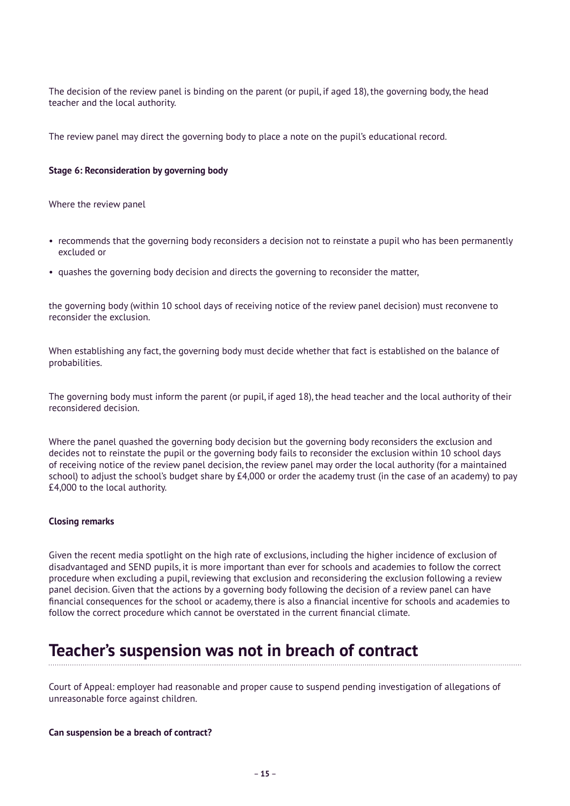The decision of the review panel is binding on the parent (or pupil, if aged 18), the governing body, the head teacher and the local authority.

The review panel may direct the governing body to place a note on the pupil's educational record.

#### **Stage 6: Reconsideration by governing body**

Where the review panel

- recommends that the governing body reconsiders a decision not to reinstate a pupil who has been permanently excluded or
- quashes the governing body decision and directs the governing to reconsider the matter,

the governing body (within 10 school days of receiving notice of the review panel decision) must reconvene to reconsider the exclusion.

When establishing any fact, the governing body must decide whether that fact is established on the balance of probabilities.

The governing body must inform the parent (or pupil, if aged 18), the head teacher and the local authority of their reconsidered decision.

Where the panel quashed the governing body decision but the governing body reconsiders the exclusion and decides not to reinstate the pupil or the governing body fails to reconsider the exclusion within 10 school days of receiving notice of the review panel decision, the review panel may order the local authority (for a maintained school) to adjust the school's budget share by £4,000 or order the academy trust (in the case of an academy) to pay £4,000 to the local authority.

#### **Closing remarks**

Given the recent media spotlight on the high rate of exclusions, including the higher incidence of exclusion of disadvantaged and SEND pupils, it is more important than ever for schools and academies to follow the correct procedure when excluding a pupil, reviewing that exclusion and reconsidering the exclusion following a review panel decision. Given that the actions by a governing body following the decision of a review panel can have financial consequences for the school or academy, there is also a financial incentive for schools and academies to follow the correct procedure which cannot be overstated in the current financial climate.

### **Teacher's suspension was not in breach of contract**

Court of Appeal: employer had reasonable and proper cause to suspend pending investigation of allegations of unreasonable force against children.

#### **Can suspension be a breach of contract?**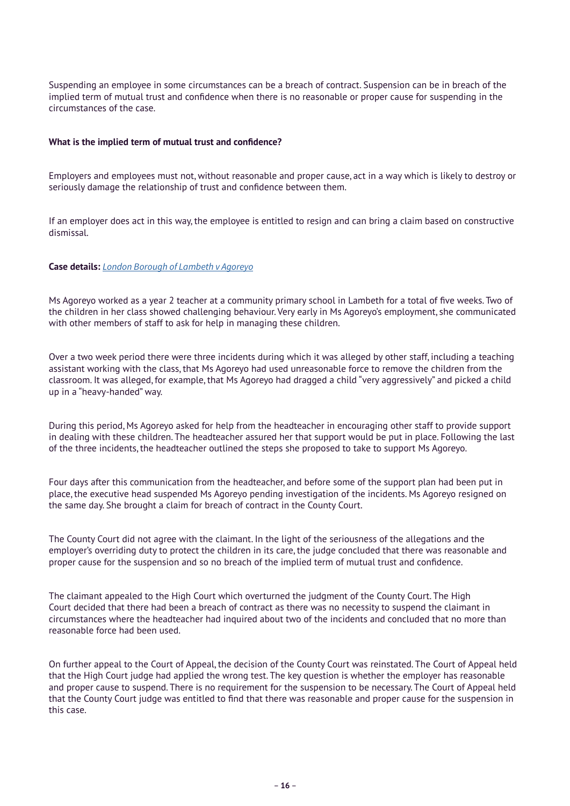Suspending an employee in some circumstances can be a breach of contract. Suspension can be in breach of the implied term of mutual trust and confidence when there is no reasonable or proper cause for suspending in the circumstances of the case.

#### **What is the implied term of mutual trust and confidence?**

Employers and employees must not, without reasonable and proper cause, act in a way which is likely to destroy or seriously damage the relationship of trust and confidence between them.

If an employer does act in this way, the employee is entitled to resign and can bring a claim based on constructive dismissal.

#### **Case details:** *[London Borough of Lambeth v Agoreyo](https://www.bailii.org/ew/cases/EWCA/Civ/2019/322.pdf)*

Ms Agoreyo worked as a year 2 teacher at a community primary school in Lambeth for a total of five weeks. Two of the children in her class showed challenging behaviour. Very early in Ms Agoreyo's employment, she communicated with other members of staff to ask for help in managing these children.

Over a two week period there were three incidents during which it was alleged by other staff, including a teaching assistant working with the class, that Ms Agoreyo had used unreasonable force to remove the children from the classroom. It was alleged, for example, that Ms Agoreyo had dragged a child "very aggressively" and picked a child up in a "heavy-handed" way.

During this period, Ms Agoreyo asked for help from the headteacher in encouraging other staff to provide support in dealing with these children. The headteacher assured her that support would be put in place. Following the last of the three incidents, the headteacher outlined the steps she proposed to take to support Ms Agoreyo.

Four days after this communication from the headteacher, and before some of the support plan had been put in place, the executive head suspended Ms Agoreyo pending investigation of the incidents. Ms Agoreyo resigned on the same day. She brought a claim for breach of contract in the County Court.

The County Court did not agree with the claimant. In the light of the seriousness of the allegations and the employer's overriding duty to protect the children in its care, the judge concluded that there was reasonable and proper cause for the suspension and so no breach of the implied term of mutual trust and confidence.

The claimant appealed to the High Court which overturned the judgment of the County Court. The High Court decided that there had been a breach of contract as there was no necessity to suspend the claimant in circumstances where the headteacher had inquired about two of the incidents and concluded that no more than reasonable force had been used.

On further appeal to the Court of Appeal, the decision of the County Court was reinstated. The Court of Appeal held that the High Court judge had applied the wrong test. The key question is whether the employer has reasonable and proper cause to suspend. There is no requirement for the suspension to be necessary. The Court of Appeal held that the County Court judge was entitled to find that there was reasonable and proper cause for the suspension in this case.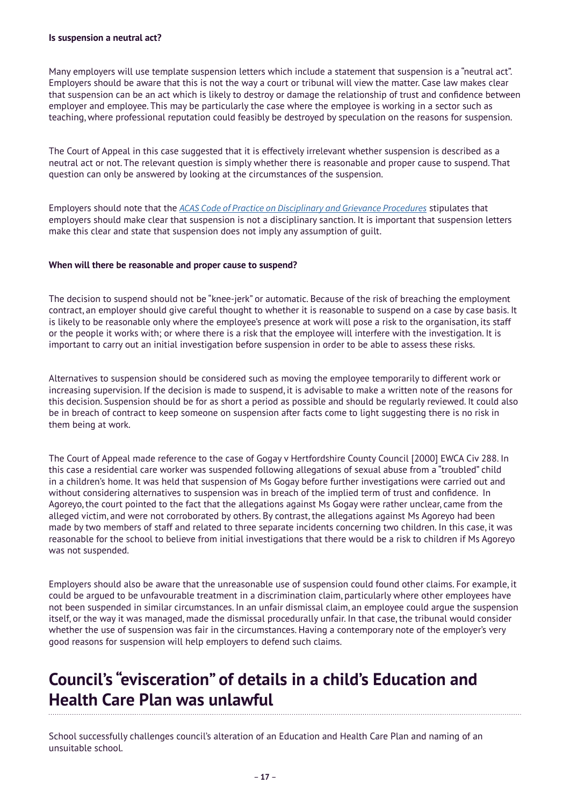Many employers will use template suspension letters which include a statement that suspension is a "neutral act". Employers should be aware that this is not the way a court or tribunal will view the matter. Case law makes clear that suspension can be an act which is likely to destroy or damage the relationship of trust and confidence between employer and employee. This may be particularly the case where the employee is working in a sector such as teaching, where professional reputation could feasibly be destroyed by speculation on the reasons for suspension.

The Court of Appeal in this case suggested that it is effectively irrelevant whether suspension is described as a neutral act or not. The relevant question is simply whether there is reasonable and proper cause to suspend. That question can only be answered by looking at the circumstances of the suspension.

Employers should note that the *[ACAS Code of Practice on Disciplinary and Grievance Procedures](http://www.acas.org.uk/index.aspx?articleid=2174)* stipulates that employers should make clear that suspension is not a disciplinary sanction. It is important that suspension letters make this clear and state that suspension does not imply any assumption of guilt.

#### **When will there be reasonable and proper cause to suspend?**

The decision to suspend should not be "knee-jerk" or automatic. Because of the risk of breaching the employment contract, an employer should give careful thought to whether it is reasonable to suspend on a case by case basis. It is likely to be reasonable only where the employee's presence at work will pose a risk to the organisation, its staff or the people it works with; or where there is a risk that the employee will interfere with the investigation. It is important to carry out an initial investigation before suspension in order to be able to assess these risks.

Alternatives to suspension should be considered such as moving the employee temporarily to different work or increasing supervision. If the decision is made to suspend, it is advisable to make a written note of the reasons for this decision. Suspension should be for as short a period as possible and should be regularly reviewed. It could also be in breach of contract to keep someone on suspension after facts come to light suggesting there is no risk in them being at work.

The Court of Appeal made reference to the case of Gogay v Hertfordshire County Council [2000] EWCA Civ 288. In this case a residential care worker was suspended following allegations of sexual abuse from a "troubled" child in a children's home. It was held that suspension of Ms Gogay before further investigations were carried out and without considering alternatives to suspension was in breach of the implied term of trust and confidence. In Agoreyo, the court pointed to the fact that the allegations against Ms Gogay were rather unclear, came from the alleged victim, and were not corroborated by others. By contrast, the allegations against Ms Agoreyo had been made by two members of staff and related to three separate incidents concerning two children. In this case, it was reasonable for the school to believe from initial investigations that there would be a risk to children if Ms Agoreyo was not suspended.

Employers should also be aware that the unreasonable use of suspension could found other claims. For example, it could be argued to be unfavourable treatment in a discrimination claim, particularly where other employees have not been suspended in similar circumstances. In an unfair dismissal claim, an employee could argue the suspension itself, or the way it was managed, made the dismissal procedurally unfair. In that case, the tribunal would consider whether the use of suspension was fair in the circumstances. Having a contemporary note of the employer's very good reasons for suspension will help employers to defend such claims.

### **Council's "evisceration" of details in a child's Education and Health Care Plan was unlawful**

School successfully challenges council's alteration of an Education and Health Care Plan and naming of an unsuitable school.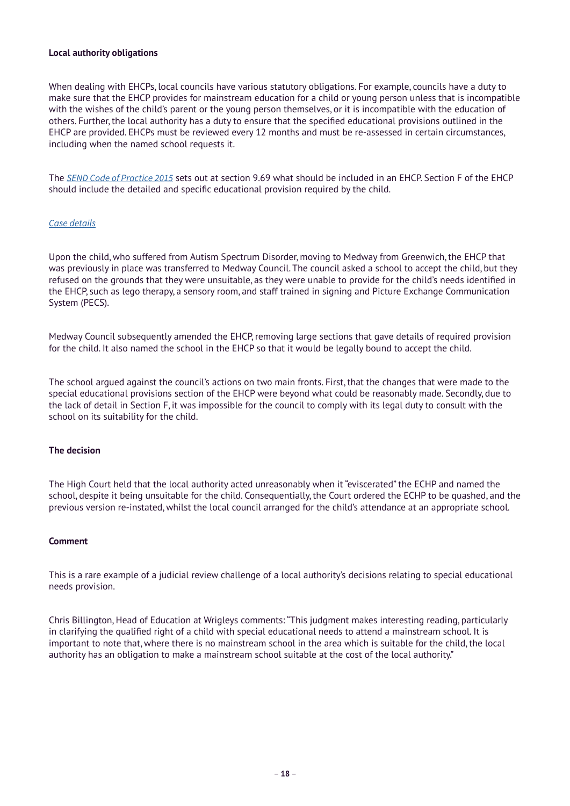#### **Local authority obligations**

When dealing with EHCPs, local councils have various statutory obligations. For example, councils have a duty to make sure that the EHCP provides for mainstream education for a child or young person unless that is incompatible with the wishes of the child's parent or the young person themselves, or it is incompatible with the education of others. Further, the local authority has a duty to ensure that the specified educational provisions outlined in the EHCP are provided. EHCPs must be reviewed every 12 months and must be re-assessed in certain circumstances, including when the named school requests it.

The *[SEND Code of Practice 2015](https://www.google.com/url?sa=t&rct=j&q=&esrc=s&source=web&cd=2&ved=2ahUKEwiPp9iBkLTgAhUCQxUIHejvB_EQFjABegQICRAC&url=https%3A%2F%2Fassets.publishing.service.gov.uk%2Fgovernment%2Fuploads%2Fsystem%2Fuploads%2Fattachment_data%2Ffile%2F398815%2FSEND_Code_of_Practice_January_2015.pdf&usg=AOvVaw3rjVRRCwK9QjGaVNwzw2z5)* sets out at section 9.69 what should be included in an EHCP. Section F of the EHCP should include the detailed and specific educational provision required by the child.

#### *[Case details](https://www.google.com/url?sa=t&rct=j&q=&esrc=s&source=web&cd=1&ved=2ahUKEwjZxtWikLTgAhXWSxUIHRZpBrkQFjAAegQIARAC&url=https%3A%2F%2Fwww.11kbw.com%2Fwp-content%2Fuploads%2F2019.02.04-Academy-Trust-v-Medway-FINAL.pdf&usg=AOvVaw1YMqwXKDsV-BOe6wiQ5UzB)*

Upon the child, who suffered from Autism Spectrum Disorder, moving to Medway from Greenwich, the EHCP that was previously in place was transferred to Medway Council. The council asked a school to accept the child, but they refused on the grounds that they were unsuitable, as they were unable to provide for the child's needs identified in the EHCP, such as lego therapy, a sensory room, and staff trained in signing and Picture Exchange Communication System (PECS).

Medway Council subsequently amended the EHCP, removing large sections that gave details of required provision for the child. It also named the school in the EHCP so that it would be legally bound to accept the child.

The school argued against the council's actions on two main fronts. First, that the changes that were made to the special educational provisions section of the EHCP were beyond what could be reasonably made. Secondly, due to the lack of detail in Section F, it was impossible for the council to comply with its legal duty to consult with the school on its suitability for the child.

#### **The decision**

The High Court held that the local authority acted unreasonably when it "eviscerated" the ECHP and named the school, despite it being unsuitable for the child. Consequentially, the Court ordered the ECHP to be quashed, and the previous version re-instated, whilst the local council arranged for the child's attendance at an appropriate school.

#### **Comment**

This is a rare example of a judicial review challenge of a local authority's decisions relating to special educational needs provision.

Chris Billington, Head of Education at Wrigleys comments: "This judgment makes interesting reading, particularly in clarifying the qualified right of a child with special educational needs to attend a mainstream school. It is important to note that, where there is no mainstream school in the area which is suitable for the child, the local authority has an obligation to make a mainstream school suitable at the cost of the local authority."